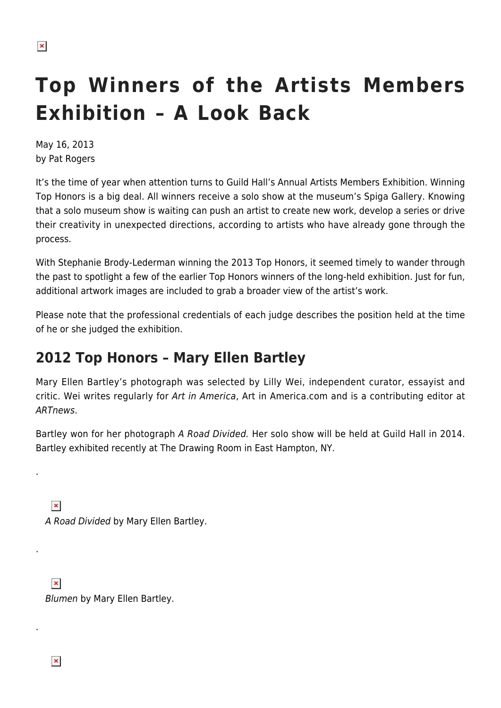# **Top Winners of the Artists Members Exhibition – A Look Back**

May 16, 2013 by Pat Rogers

It's the time of year when attention turns to Guild Hall's Annual Artists Members Exhibition. Winning Top Honors is a big deal. All winners receive a solo show at the museum's Spiga Gallery. Knowing that a solo museum show is waiting can push an artist to create new work, develop a series or drive their creativity in unexpected directions, according to artists who have already gone through the process.

With Stephanie Brody-Lederman winning the 2013 Top Honors, it seemed timely to wander through the past to spotlight a few of the earlier Top Honors winners of the long-held exhibition. Just for fun, additional artwork images are included to grab a broader view of the artist's work.

Please note that the professional credentials of each judge describes the position held at the time of he or she judged the exhibition.

### **2012 Top Honors – Mary Ellen Bartley**

Mary Ellen Bartley's photograph was selected by Lilly Wei, independent curator, essayist and critic. Wei writes regularly for Art in America, Art in America.com and is a contributing editor at ARTnews.

Bartley won for her photograph A Road Divided. Her solo show will be held at Guild Hall in 2014. Bartley exhibited recently at The Drawing Room in East Hampton, NY.

A Road Divided by Mary Ellen Bartley.

 $\pmb{\times}$ Blumen by Mary Ellen Bartley.

 $\pmb{\times}$ 

.

 $\pmb{\times}$ 

.

.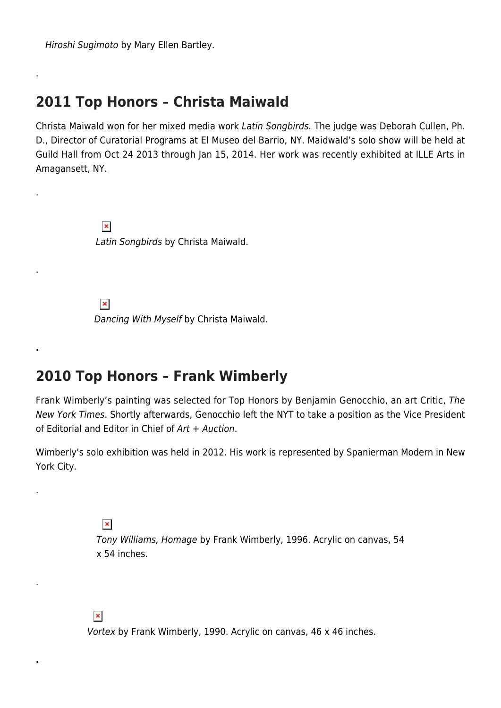Hiroshi Sugimoto by Mary Ellen Bartley.

.

.

.

**.**

.

.

**.**

#### **2011 Top Honors – Christa Maiwald**

Christa Maiwald won for her mixed media work Latin Songbirds. The judge was Deborah Cullen, Ph. D., Director of Curatorial Programs at El Museo del Barrio, NY. Maidwald's solo show will be held at Guild Hall from Oct 24 2013 through Jan 15, 2014. Her work was recently exhibited at ILLE Arts in Amagansett, NY.

> $\pmb{\times}$ Latin Songbirds by Christa Maiwald.

 $\pmb{\times}$ 

Dancing With Myself by Christa Maiwald.

#### **2010 Top Honors – Frank Wimberly**

Frank Wimberly's painting was selected for Top Honors by Benjamin Genocchio, an art Critic, The New York Times. Shortly afterwards, Genocchio left the NYT to take a position as the Vice President of Editorial and Editor in Chief of Art + Auction.

Wimberly's solo exhibition was held in 2012. His work is represented by Spanierman Modern in New York City.

> $\pmb{\times}$ Tony Williams, Homage by Frank Wimberly, 1996. Acrylic on canvas, 54 x 54 inches.

 $\pmb{\times}$ 

Vortex by Frank Wimberly, 1990. Acrylic on canvas, 46 x 46 inches.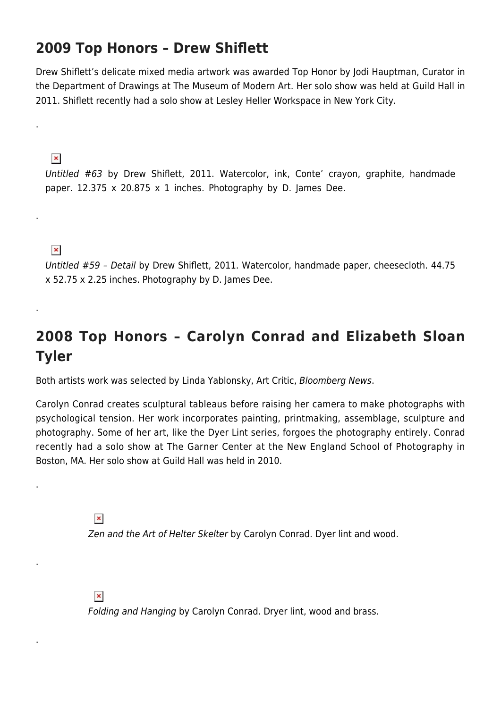#### **2009 Top Honors – Drew Shiflett**

Drew Shiflett's delicate mixed media artwork was awarded Top Honor by Jodi Hauptman, Curator in the Department of Drawings at The Museum of Modern Art. Her solo show was held at Guild Hall in 2011. Shiflett recently had a solo show at Lesley Heller Workspace in New York City.

 $\pmb{\times}$ 

.

.

.

.

.

.

Untitled #63 by Drew Shiflett, 2011. Watercolor, ink, Conte' crayon, graphite, handmade paper. 12.375 x 20.875 x 1 inches. Photography by D. James Dee.

 $\pmb{\times}$ 

Untitled #59 – Detail by Drew Shiflett, 2011. Watercolor, handmade paper, cheesecloth. 44.75 x 52.75 x 2.25 inches. Photography by D. James Dee.

## **2008 Top Honors – Carolyn Conrad and Elizabeth Sloan Tyler**

Both artists work was selected by Linda Yablonsky, Art Critic, Bloomberg News.

Carolyn Conrad creates sculptural tableaus before raising her camera to make photographs with psychological tension. Her work incorporates painting, printmaking, assemblage, sculpture and photography. Some of her art, like the Dyer Lint series, forgoes the photography entirely. Conrad recently had a solo show at The Garner Center at the New England School of Photography in Boston, MA. Her solo show at Guild Hall was held in 2010.

> $\pmb{\times}$ Zen and the Art of Helter Skelter by Carolyn Conrad. Dyer lint and wood.

 $\pmb{\times}$ 

Folding and Hanging by Carolyn Conrad. Dryer lint, wood and brass.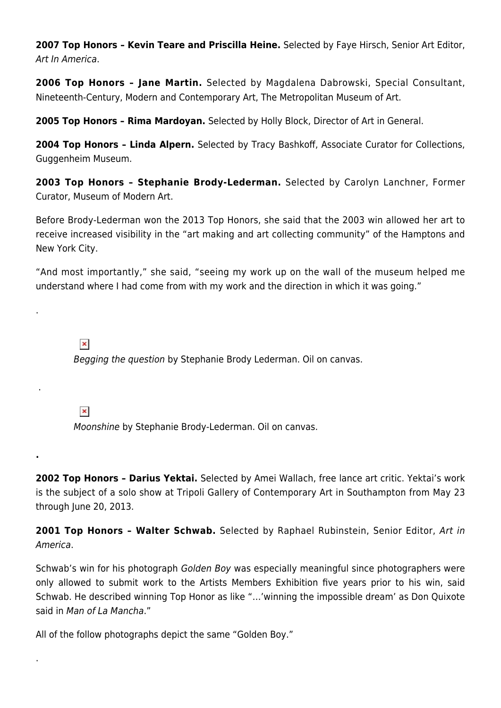**2007 Top Honors – Kevin Teare and Priscilla Heine.** Selected by Faye Hirsch, Senior Art Editor, Art In America.

**2006 Top Honors – Jane Martin.** Selected by Magdalena Dabrowski, Special Consultant, Nineteenth-Century, Modern and Contemporary Art, The Metropolitan Museum of Art.

**2005 Top Honors – Rima Mardoyan.** Selected by Holly Block, Director of Art in General.

**2004 Top Honors – Linda Alpern.** Selected by Tracy Bashkoff, Associate Curator for Collections, Guggenheim Museum.

**2003 Top Honors – Stephanie Brody-Lederman.** Selected by Carolyn Lanchner, Former Curator, Museum of Modern Art.

Before Brody-Lederman won the 2013 Top Honors, she said that the 2003 win allowed her art to receive increased visibility in the "art making and art collecting community" of the Hamptons and New York City.

"And most importantly," she said, "seeing my work up on the wall of the museum helped me understand where I had come from with my work and the direction in which it was going."

 $\pmb{\times}$ 

.

.

**.**

.

Begging the question by Stephanie Brody Lederman. Oil on canvas.

 $\pmb{\times}$ 

Moonshine by Stephanie Brody-Lederman. Oil on canvas.

**2002 Top Honors – Darius Yektai.** Selected by Amei Wallach, free lance art critic. Yektai's work is the subject of a solo show at Tripoli Gallery of Contemporary Art in Southampton from May 23 through June 20, 2013.

**2001 Top Honors – Walter Schwab.** Selected by Raphael Rubinstein, Senior Editor, Art in America.

Schwab's win for his photograph Golden Boy was especially meaningful since photographers were only allowed to submit work to the Artists Members Exhibition five years prior to his win, said Schwab. He described winning Top Honor as like "…'winning the impossible dream' as Don Quixote said in Man of La Mancha."

All of the follow photographs depict the same "Golden Boy."